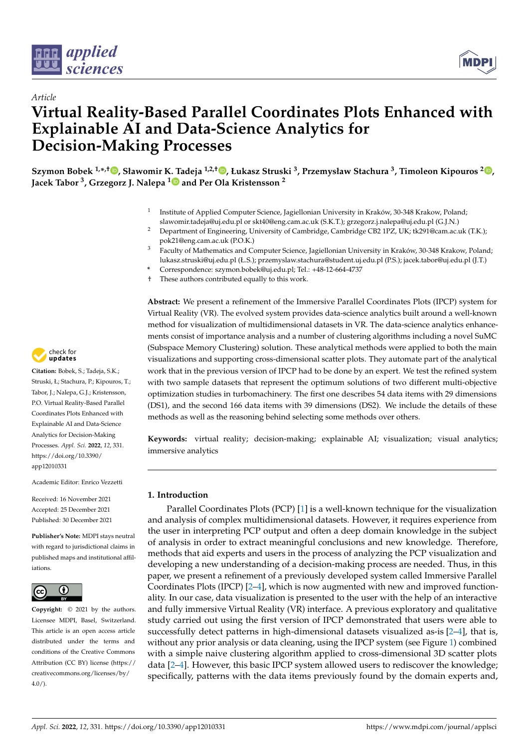



# *Article* **Virtual Reality-Based Parallel Coordinates Plots Enhanced with Explainable AI and Data-Science Analytics for Decision-Making Processes**

**Szymon Bobek 1,\* ,† [,](https://orcid.org/0000-0002-6350-8405) Sławomir K. Tadeja 1,2,† [,](https://orcid.org/0000-0003-0455-4062) Łukasz Struski <sup>3</sup> , Przemysław Stachura <sup>3</sup> , Timoleon Kipouros <sup>2</sup> [,](https://orcid.org/0000-0003-3392-283X) Jacek Tabor <sup>3</sup> , Grzegorz J. Nalepa [1](https://orcid.org/0000-0002-8182-4225) and Per Ola Kristensson <sup>2</sup>**

- 1 Institute of Applied Computer Science, Jagiellonian University in Kraków, 30-348 Krakow, Poland; slawomir.tadeja@uj.edu.pl or skt40@eng.cam.ac.uk (S.K.T.); grzegorz.j.nalepa@uj.edu.pl (G.J.N.)
- <sup>2</sup> Department of Engineering, University of Cambridge, Cambridge CB2 1PZ, UK; tk291@cam.ac.uk (T.K.); pok21@eng.cam.ac.uk (P.O.K.)
- <sup>3</sup> Faculty of Mathematics and Computer Science, Jagiellonian University in Kraków, 30-348 Krakow, Poland; lukasz.struski@uj.edu.pl (Ł.S.); przemyslaw.stachura@student.uj.edu.pl (P.S.); jacek.tabor@uj.edu.pl (J.T.)
- **\*** Correspondence: szymon.bobek@uj.edu.pl; Tel.: +48-12-664-4737
- † These authors contributed equally to this work.

**Abstract:** We present a refinement of the Immersive Parallel Coordinates Plots (IPCP) system for Virtual Reality (VR). The evolved system provides data-science analytics built around a well-known method for visualization of multidimensional datasets in VR. The data-science analytics enhancements consist of importance analysis and a number of clustering algorithms including a novel SuMC (Subspace Memory Clustering) solution. These analytical methods were applied to both the main visualizations and supporting cross-dimensional scatter plots. They automate part of the analytical work that in the previous version of IPCP had to be done by an expert. We test the refined system with two sample datasets that represent the optimum solutions of two different multi-objective optimization studies in turbomachinery. The first one describes 54 data items with 29 dimensions (DS1), and the second 166 data items with 39 dimensions (DS2). We include the details of these methods as well as the reasoning behind selecting some methods over others.

**Keywords:** virtual reality; decision-making; explainable AI; visualization; visual analytics; immersive analytics

# **1. Introduction**

Parallel Coordinates Plots (PCP) [\[1\]](#page-11-0) is a well-known technique for the visualization and analysis of complex multidimensional datasets. However, it requires experience from the user in interpreting PCP output and often a deep domain knowledge in the subject of analysis in order to extract meaningful conclusions and new knowledge. Therefore, methods that aid experts and users in the process of analyzing the PCP visualization and developing a new understanding of a decision-making process are needed. Thus, in this paper, we present a refinement of a previously developed system called Immersive Parallel Coordinates Plots (IPCP) [\[2–](#page-11-1)[4\]](#page-11-2), which is now augmented with new and improved functionality. In our case, data visualization is presented to the user with the help of an interactive and fully immersive Virtual Reality (VR) interface. A previous exploratory and qualitative study carried out using the first version of IPCP demonstrated that users were able to successfully detect patterns in high-dimensional datasets visualized as-is [\[2](#page-11-1)[–4\]](#page-11-2), that is, without any prior analysis or data cleaning, using the IPCP system (see Figure [1\)](#page-1-0) combined with a simple naive clustering algorithm applied to cross-dimensional 3D scatter plots data [\[2–](#page-11-1)[4\]](#page-11-2). However, this basic IPCP system allowed users to rediscover the knowledge; specifically, patterns with the data items previously found by the domain experts and,



**Citation:** Bobek, S.; Tadeja, S.K.; Struski, Ł; Stachura, P.; Kipouros, T.; Tabor, J.; Nalepa, G.J.; Kristensson, P.O. Virtual Reality-Based Parallel Coordinates Plots Enhanced with Explainable AI and Data-Science Analytics for Decision-Making Processes. *Appl. Sci.* **2022**, *12*, 331. [https://doi.org/10.3390/](https://doi.org/10.3390/app12010331) [app12010331](https://doi.org/10.3390/app12010331)

Academic Editor: Enrico Vezzetti

Received: 16 November 2021 Accepted: 25 December 2021 Published: 30 December 2021

**Publisher's Note:** MDPI stays neutral with regard to jurisdictional claims in published maps and institutional affiliations.



**Copyright:** © 2021 by the authors. Licensee MDPI, Basel, Switzerland. This article is an open access article distributed under the terms and conditions of the Creative Commons Attribution (CC BY) license [\(https://](https://creativecommons.org/licenses/by/4.0/) [creativecommons.org/licenses/by/](https://creativecommons.org/licenses/by/4.0/)  $4.0/$ ).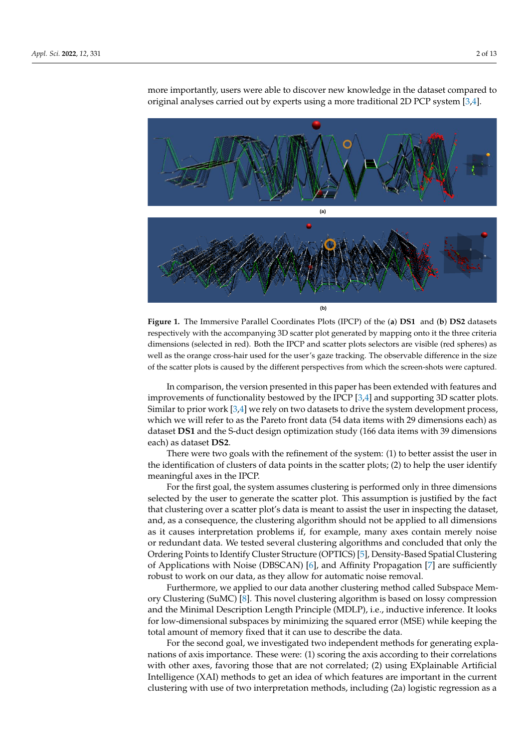<span id="page-1-0"></span>

more importantly, users were able to discover new knowledge in the dataset compared to original analyses carried out by experts using a more traditional 2D PCP system [\[3](#page-11-3)[,4\]](#page-11-2).

**Figure 1.** The Immersive Parallel Coordinates Plots (IPCP) of the (**a**) **DS1** and (**b**) **DS2** datasets respectively with the accompanying 3D scatter plot generated by mapping onto it the three criteria dimensions (selected in red). Both the IPCP and scatter plots selectors are visible (red spheres) as well as the orange cross-hair used for the user's gaze tracking. The observable difference in the size of the scatter plots is caused by the different perspectives from which the screen-shots were captured.

In comparison, the version presented in this paper has been extended with features and improvements of functionality bestowed by the IPCP [\[3](#page-11-3)[,4\]](#page-11-2) and supporting 3D scatter plots. Similar to prior work [\[3,](#page-11-3)[4\]](#page-11-2) we rely on two datasets to drive the system development process, which we will refer to as the Pareto front data (54 data items with 29 dimensions each) as dataset **DS1** and the S-duct design optimization study (166 data items with 39 dimensions each) as dataset **DS2**.

There were two goals with the refinement of the system: (1) to better assist the user in the identification of clusters of data points in the scatter plots; (2) to help the user identify meaningful axes in the IPCP.

For the first goal, the system assumes clustering is performed only in three dimensions selected by the user to generate the scatter plot. This assumption is justified by the fact that clustering over a scatter plot's data is meant to assist the user in inspecting the dataset, and, as a consequence, the clustering algorithm should not be applied to all dimensions as it causes interpretation problems if, for example, many axes contain merely noise or redundant data. We tested several clustering algorithms and concluded that only the Ordering Points to Identify Cluster Structure (OPTICS) [\[5\]](#page-11-4), Density-Based Spatial Clustering of Applications with Noise (DBSCAN) [\[6\]](#page-11-5), and Affinity Propagation [\[7\]](#page-11-6) are sufficiently robust to work on our data, as they allow for automatic noise removal.

Furthermore, we applied to our data another clustering method called Subspace Memory Clustering (SuMC) [\[8\]](#page-11-7). This novel clustering algorithm is based on lossy compression and the Minimal Description Length Principle (MDLP), i.e., inductive inference. It looks for low-dimensional subspaces by minimizing the squared error (MSE) while keeping the total amount of memory fixed that it can use to describe the data.

For the second goal, we investigated two independent methods for generating explanations of axis importance. These were: (1) scoring the axis according to their correlations with other axes, favoring those that are not correlated; (2) using EXplainable Artificial Intelligence (XAI) methods to get an idea of which features are important in the current clustering with use of two interpretation methods, including (2a) logistic regression as a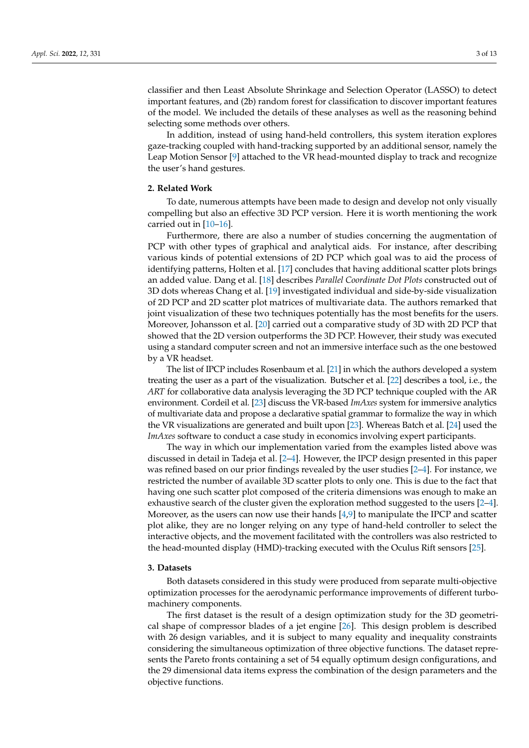classifier and then Least Absolute Shrinkage and Selection Operator (LASSO) to detect important features, and (2b) random forest for classification to discover important features of the model. We included the details of these analyses as well as the reasoning behind selecting some methods over others.

In addition, instead of using hand-held controllers, this system iteration explores gaze-tracking coupled with hand-tracking supported by an additional sensor, namely the Leap Motion Sensor [\[9\]](#page-11-8) attached to the VR head-mounted display to track and recognize the user's hand gestures.

# **2. Related Work**

To date, numerous attempts have been made to design and develop not only visually compelling but also an effective 3D PCP version. Here it is worth mentioning the work carried out in  $[10-16]$  $[10-16]$ .

Furthermore, there are also a number of studies concerning the augmentation of PCP with other types of graphical and analytical aids. For instance, after describing various kinds of potential extensions of 2D PCP which goal was to aid the process of identifying patterns, Holten et al. [\[17\]](#page-11-11) concludes that having additional scatter plots brings an added value. Dang et al. [\[18\]](#page-11-12) describes *Parallel Coordinate Dot Plots* constructed out of 3D dots whereas Chang et al. [\[19\]](#page-11-13) investigated individual and side-by-side visualization of 2D PCP and 2D scatter plot matrices of multivariate data. The authors remarked that joint visualization of these two techniques potentially has the most benefits for the users. Moreover, Johansson et al. [\[20\]](#page-11-14) carried out a comparative study of 3D with 2D PCP that showed that the 2D version outperforms the 3D PCP. However, their study was executed using a standard computer screen and not an immersive interface such as the one bestowed by a VR headset.

The list of IPCP includes Rosenbaum et al. [\[21\]](#page-11-15) in which the authors developed a system treating the user as a part of the visualization. Butscher et al. [\[22\]](#page-11-16) describes a tool, i.e., the *ART* for collaborative data analysis leveraging the 3D PCP technique coupled with the AR environment. Cordeil et al. [\[23\]](#page-11-17) discuss the VR-based *ImAxes* system for immersive analytics of multivariate data and propose a declarative spatial grammar to formalize the way in which the VR visualizations are generated and built upon [\[23\]](#page-11-17). Whereas Batch et al. [\[24\]](#page-11-18) used the *ImAxes* software to conduct a case study in economics involving expert participants.

The way in which our implementation varied from the examples listed above was discussed in detail in Tadeja et al. [\[2–](#page-11-1)[4\]](#page-11-2). However, the IPCP design presented in this paper was refined based on our prior findings revealed by the user studies [\[2](#page-11-1)[–4\]](#page-11-2). For instance, we restricted the number of available 3D scatter plots to only one. This is due to the fact that having one such scatter plot composed of the criteria dimensions was enough to make an exhaustive search of the cluster given the exploration method suggested to the users [\[2](#page-11-1)[–4\]](#page-11-2). Moreover, as the users can now use their hands [\[4,](#page-11-2)[9\]](#page-11-8) to manipulate the IPCP and scatter plot alike, they are no longer relying on any type of hand-held controller to select the interactive objects, and the movement facilitated with the controllers was also restricted to the head-mounted display (HMD)-tracking executed with the Oculus Rift sensors [\[25\]](#page-11-19).

## **3. Datasets**

Both datasets considered in this study were produced from separate multi-objective optimization processes for the aerodynamic performance improvements of different turbomachinery components.

The first dataset is the result of a design optimization study for the 3D geometrical shape of compressor blades of a jet engine [\[26\]](#page-11-20). This design problem is described with 26 design variables, and it is subject to many equality and inequality constraints considering the simultaneous optimization of three objective functions. The dataset represents the Pareto fronts containing a set of 54 equally optimum design configurations, and the 29 dimensional data items express the combination of the design parameters and the objective functions.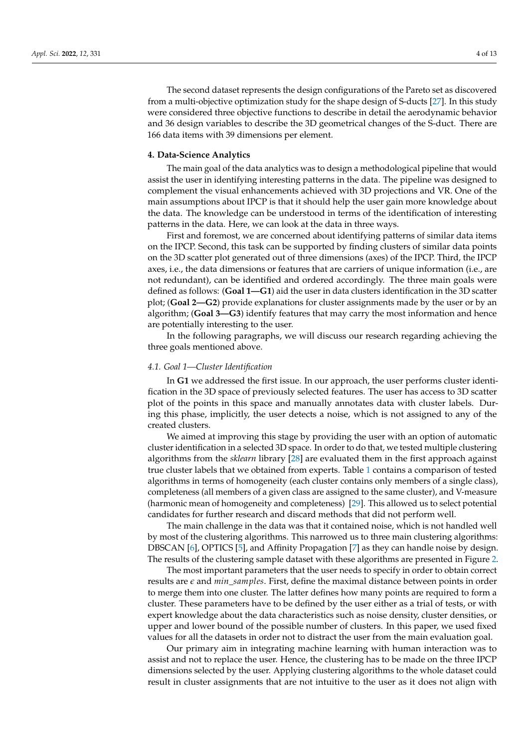The second dataset represents the design configurations of the Pareto set as discovered from a multi-objective optimization study for the shape design of S-ducts [\[27\]](#page-11-21). In this study were considered three objective functions to describe in detail the aerodynamic behavior and 36 design variables to describe the 3D geometrical changes of the S-duct. There are 166 data items with 39 dimensions per element.

## **4. Data-Science Analytics**

The main goal of the data analytics was to design a methodological pipeline that would assist the user in identifying interesting patterns in the data. The pipeline was designed to complement the visual enhancements achieved with 3D projections and VR. One of the main assumptions about IPCP is that it should help the user gain more knowledge about the data. The knowledge can be understood in terms of the identification of interesting patterns in the data. Here, we can look at the data in three ways.

First and foremost, we are concerned about identifying patterns of similar data items on the IPCP. Second, this task can be supported by finding clusters of similar data points on the 3D scatter plot generated out of three dimensions (axes) of the IPCP. Third, the IPCP axes, i.e., the data dimensions or features that are carriers of unique information (i.e., are not redundant), can be identified and ordered accordingly. The three main goals were defined as follows: (**Goal 1—G1**) aid the user in data clusters identification in the 3D scatter plot; (**Goal 2—G2**) provide explanations for cluster assignments made by the user or by an algorithm; (**Goal 3—G3**) identify features that may carry the most information and hence are potentially interesting to the user.

In the following paragraphs, we will discuss our research regarding achieving the three goals mentioned above.

## *4.1. Goal 1—Cluster Identification*

In **G1** we addressed the first issue. In our approach, the user performs cluster identification in the 3D space of previously selected features. The user has access to 3D scatter plot of the points in this space and manually annotates data with cluster labels. During this phase, implicitly, the user detects a noise, which is not assigned to any of the created clusters.

We aimed at improving this stage by providing the user with an option of automatic cluster identification in a selected 3D space. In order to do that, we tested multiple clustering algorithms from the *sklearn* library [\[28\]](#page-12-0) are evaluated them in the first approach against true cluster labels that we obtained from experts. Table [1](#page-4-0) contains a comparison of tested algorithms in terms of homogeneity (each cluster contains only members of a single class), completeness (all members of a given class are assigned to the same cluster), and V-measure (harmonic mean of homogeneity and completeness) [\[29\]](#page-12-1). This allowed us to select potential candidates for further research and discard methods that did not perform well.

The main challenge in the data was that it contained noise, which is not handled well by most of the clustering algorithms. This narrowed us to three main clustering algorithms: DBSCAN [\[6\]](#page-11-5), OPTICS [\[5\]](#page-11-4), and Affinity Propagation [\[7\]](#page-11-6) as they can handle noise by design. The results of the clustering sample dataset with these algorithms are presented in Figure [2.](#page-4-1)

The most important parameters that the user needs to specify in order to obtain correct results are *e* and *min*\_*samples*. First, define the maximal distance between points in order to merge them into one cluster. The latter defines how many points are required to form a cluster. These parameters have to be defined by the user either as a trial of tests, or with expert knowledge about the data characteristics such as noise density, cluster densities, or upper and lower bound of the possible number of clusters. In this paper, we used fixed values for all the datasets in order not to distract the user from the main evaluation goal.

Our primary aim in integrating machine learning with human interaction was to assist and not to replace the user. Hence, the clustering has to be made on the three IPCP dimensions selected by the user. Applying clustering algorithms to the whole dataset could result in cluster assignments that are not intuitive to the user as it does not align with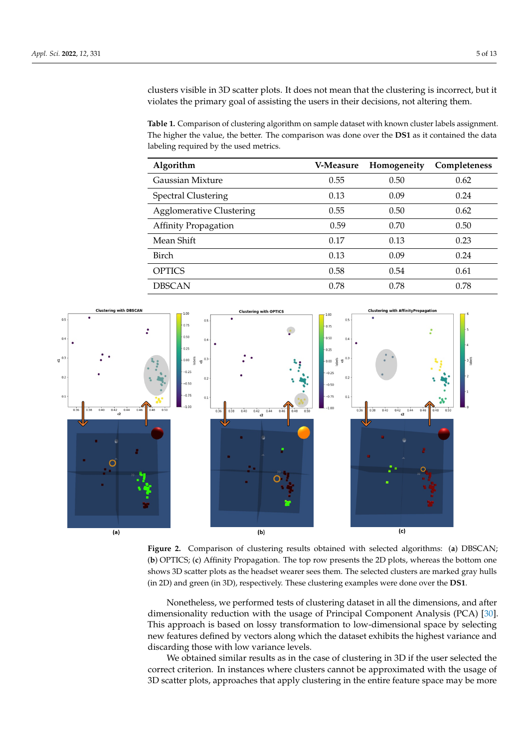clusters visible in 3D scatter plots. It does not mean that the clustering is incorrect, but it violates the primary goal of assisting the users in their decisions, not altering them.

<span id="page-4-0"></span>**Table 1.** Comparison of clustering algorithm on sample dataset with known cluster labels assignment. The higher the value, the better. The comparison was done over the **DS1** as it contained the data labeling required by the used metrics.

| Algorithm                       | <b>V-Measure</b> | Homogeneity | Completeness |
|---------------------------------|------------------|-------------|--------------|
| Gaussian Mixture                | 0.55             | 0.50        | 0.62         |
| <b>Spectral Clustering</b>      | 0.13             | 0.09        | 0.24         |
| <b>Agglomerative Clustering</b> | 0.55             | 0.50        | 0.62         |
| <b>Affinity Propagation</b>     | 0.59             | 0.70        | 0.50         |
| Mean Shift                      | 0.17             | 0.13        | 0.23         |
| <b>Birch</b>                    | 0.13             | 0.09        | 0.24         |
| <b>OPTICS</b>                   | 0.58             | 0.54        | 0.61         |
| <b>DBSCAN</b>                   | 0.78             | 0.78        | 0.78         |

<span id="page-4-1"></span>

**Figure 2.** Comparison of clustering results obtained with selected algorithms: (**a**) DBSCAN; (**b**) OPTICS; (**c**) Affinity Propagation. The top row presents the 2D plots, whereas the bottom one shows 3D scatter plots as the headset wearer sees them. The selected clusters are marked gray hulls (in 2D) and green (in 3D), respectively. These clustering examples were done over the **DS1**.

Nonetheless, we performed tests of clustering dataset in all the dimensions, and after dimensionality reduction with the usage of Principal Component Analysis (PCA) [\[30\]](#page-12-2). This approach is based on lossy transformation to low-dimensional space by selecting new features defined by vectors along which the dataset exhibits the highest variance and discarding those with low variance levels.

We obtained similar results as in the case of clustering in 3D if the user selected the correct criterion. In instances where clusters cannot be approximated with the usage of 3D scatter plots, approaches that apply clustering in the entire feature space may be more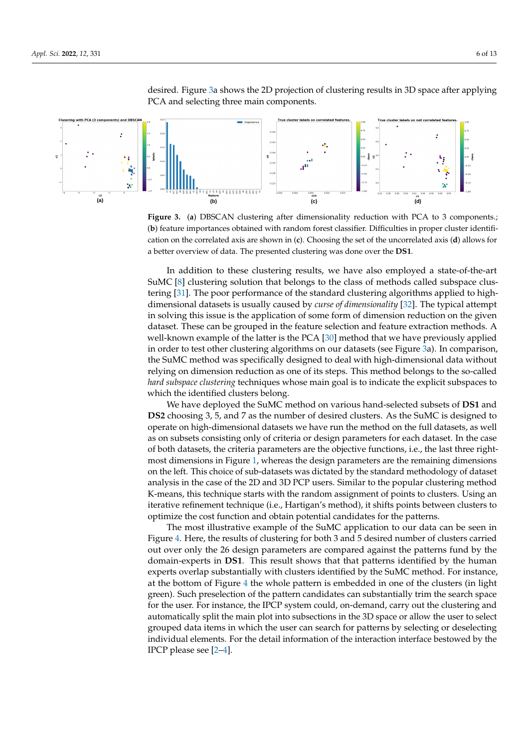

<span id="page-5-0"></span>desired. Figure [3a](#page-5-0) shows the 2D projection of clustering results in 3D space after applying PCA and selecting three main components.

**Figure 3.** (**a**) DBSCAN clustering after dimensionality reduction with PCA to 3 components.; (**b**) feature importances obtained with random forest classifier. Difficulties in proper cluster identification on the correlated axis are shown in (**c**). Choosing the set of the uncorrelated axis (**d**) allows for a better overview of data. The presented clustering was done over the **DS1**.

In addition to these clustering results, we have also employed a state-of-the-art SuMC [\[8\]](#page-11-7) clustering solution that belongs to the class of methods called subspace clustering [\[31\]](#page-12-3). The poor performance of the standard clustering algorithms applied to highdimensional datasets is usually caused by *curse of dimensionality* [\[32\]](#page-12-4). The typical attempt in solving this issue is the application of some form of dimension reduction on the given dataset. These can be grouped in the feature selection and feature extraction methods. A well-known example of the latter is the PCA [\[30\]](#page-12-2) method that we have previously applied in order to test other clustering algorithms on our datasets (see Figure [3a](#page-5-0)). In comparison, the SuMC method was specifically designed to deal with high-dimensional data without relying on dimension reduction as one of its steps. This method belongs to the so-called *hard subspace clustering* techniques whose main goal is to indicate the explicit subspaces to which the identified clusters belong.

We have deployed the SuMC method on various hand-selected subsets of **DS1** and **DS2** choosing 3, 5, and 7 as the number of desired clusters. As the SuMC is designed to operate on high-dimensional datasets we have run the method on the full datasets, as well as on subsets consisting only of criteria or design parameters for each dataset. In the case of both datasets, the criteria parameters are the objective functions, i.e., the last three rightmost dimensions in Figure [1,](#page-1-0) whereas the design parameters are the remaining dimensions on the left. This choice of sub-datasets was dictated by the standard methodology of dataset analysis in the case of the 2D and 3D PCP users. Similar to the popular clustering method K-means, this technique starts with the random assignment of points to clusters. Using an iterative refinement technique (i.e., Hartigan's method), it shifts points between clusters to optimize the cost function and obtain potential candidates for the patterns.

The most illustrative example of the SuMC application to our data can be seen in Figure [4.](#page-6-0) Here, the results of clustering for both 3 and 5 desired number of clusters carried out over only the 26 design parameters are compared against the patterns fund by the domain-experts in **DS1**. This result shows that that patterns identified by the human experts overlap substantially with clusters identified by the SuMC method. For instance, at the bottom of Figure [4](#page-6-0) the whole pattern is embedded in one of the clusters (in light green). Such preselection of the pattern candidates can substantially trim the search space for the user. For instance, the IPCP system could, on-demand, carry out the clustering and automatically split the main plot into subsections in the 3D space or allow the user to select grouped data items in which the user can search for patterns by selecting or deselecting individual elements. For the detail information of the interaction interface bestowed by the IPCP please see [\[2](#page-11-1)[–4\]](#page-11-2).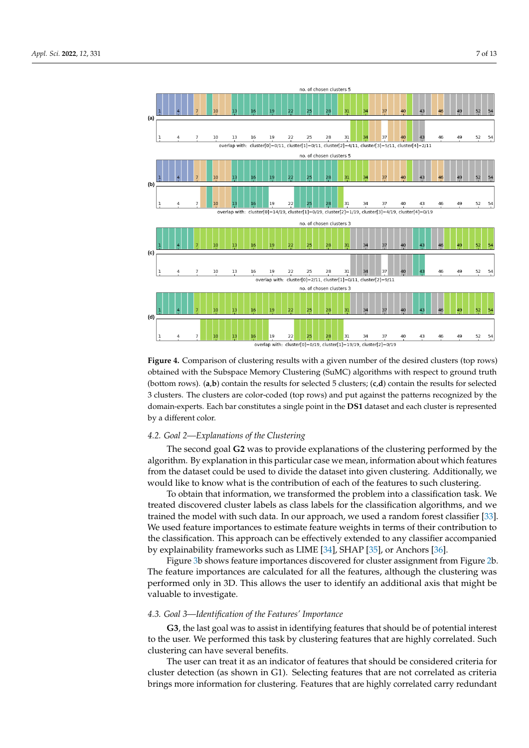<span id="page-6-0"></span>

**Figure 4.** Comparison of clustering results with a given number of the desired clusters (top rows) obtained with the Subspace Memory Clustering (SuMC) algorithms with respect to ground truth (bottom rows). (**a**,**b**) contain the results for selected 5 clusters; (**c**,**d**) contain the results for selected 3 clusters. The clusters are color-coded (top rows) and put against the patterns recognized by the domain-experts. Each bar constitutes a single point in the **DS1** dataset and each cluster is represented by a different color.

# *4.2. Goal 2—Explanations of the Clustering*

The second goal **G2** was to provide explanations of the clustering performed by the algorithm. By explanation in this particular case we mean, information about which features from the dataset could be used to divide the dataset into given clustering. Additionally, we would like to know what is the contribution of each of the features to such clustering.

To obtain that information, we transformed the problem into a classification task. We treated discovered cluster labels as class labels for the classification algorithms, and we trained the model with such data. In our approach, we used a random forest classifier [\[33\]](#page-12-5). We used feature importances to estimate feature weights in terms of their contribution to the classification. This approach can be effectively extended to any classifier accompanied by explainability frameworks such as LIME [\[34\]](#page-12-6), SHAP [\[35\]](#page-12-7), or Anchors [\[36\]](#page-12-8).

Figure [3b](#page-5-0) shows feature importances discovered for cluster assignment from Figure [2b](#page-4-1). The feature importances are calculated for all the features, although the clustering was performed only in 3D. This allows the user to identify an additional axis that might be valuable to investigate.

#### *4.3. Goal 3—Identification of the Features' Importance*

**G3**, the last goal was to assist in identifying features that should be of potential interest to the user. We performed this task by clustering features that are highly correlated. Such clustering can have several benefits.

The user can treat it as an indicator of features that should be considered criteria for cluster detection (as shown in G1). Selecting features that are not correlated as criteria brings more information for clustering. Features that are highly correlated carry redundant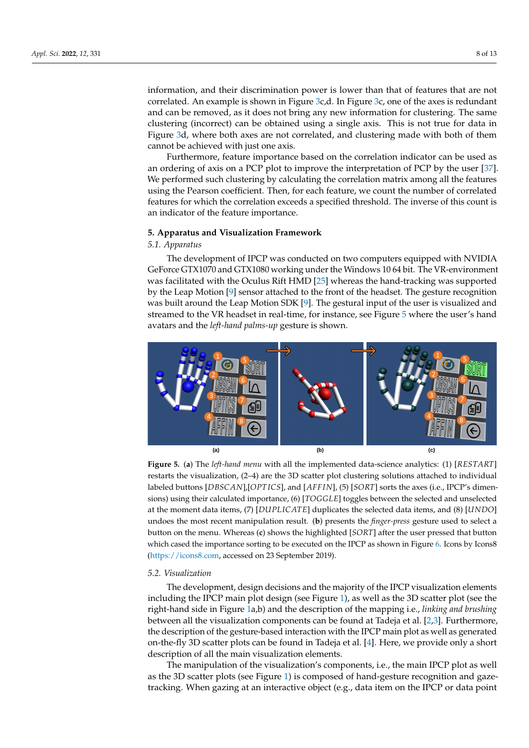information, and their discrimination power is lower than that of features that are not correlated. An example is shown in Figure  $3c$ ,d. In Figure  $3c$ , one of the axes is redundant and can be removed, as it does not bring any new information for clustering. The same clustering (incorrect) can be obtained using a single axis. This is not true for data in Figure [3d](#page-5-0), where both axes are not correlated, and clustering made with both of them cannot be achieved with just one axis.

Furthermore, feature importance based on the correlation indicator can be used as an ordering of axis on a PCP plot to improve the interpretation of PCP by the user [\[37\]](#page-12-9). We performed such clustering by calculating the correlation matrix among all the features using the Pearson coefficient. Then, for each feature, we count the number of correlated features for which the correlation exceeds a specified threshold. The inverse of this count is an indicator of the feature importance.

#### **5. Apparatus and Visualization Framework**

#### *5.1. Apparatus*

The development of IPCP was conducted on two computers equipped with NVIDIA GeForce GTX1070 and GTX1080 working under the Windows 10 64 bit. The VR-environment was facilitated with the Oculus Rift HMD [\[25\]](#page-11-19) whereas the hand-tracking was supported by the Leap Motion [\[9\]](#page-11-8) sensor attached to the front of the headset. The gesture recognition was built around the Leap Motion SDK [\[9\]](#page-11-8). The gestural input of the user is visualized and streamed to the VR headset in real-time, for instance, see Figure [5](#page-7-0) where the user's hand avatars and the *left-hand palms-up* gesture is shown.

<span id="page-7-0"></span>

**Figure 5.** (**a**) The *left-hand menu* with all the implemented data-science analytics: (1) [*RESTART*] restarts the visualization, (2–4) are the 3D scatter plot clustering solutions attached to individual labeled buttons [*DBSCAN*],[*OPT ICS*], and [*AFF IN*], (5) [*SORT*] sorts the axes (i.e., IPCP's dimensions) using their calculated importance, (6) [*TOGGLE*] toggles between the selected and unselected at the moment data items, (7) [*DUPLICATE*] duplicates the selected data items, and (8) [*UNDO*] undoes the most recent manipulation result. (**b**) presents the *finger-press* gesture used to select a button on the menu. Whereas (**c**) shows the highlighted [*SORT*] after the user pressed that button which cased the importance sorting to be executed on the IPCP as shown in Figure [6.](#page-8-0) Icons by Icons8 [\(https://icons8.com,](https://icons8.com) accessed on 23 September 2019).

## *5.2. Visualization*

The development, design decisions and the majority of the IPCP visualization elements including the IPCP main plot design (see Figure [1\)](#page-1-0), as well as the 3D scatter plot (see the right-hand side in Figure [1a](#page-1-0),b) and the description of the mapping i.e., *linking and brushing* between all the visualization components can be found at Tadeja et al. [\[2](#page-11-1)[,3\]](#page-11-3). Furthermore, the description of the gesture-based interaction with the IPCP main plot as well as generated on-the-fly 3D scatter plots can be found in Tadeja et al. [\[4\]](#page-11-2). Here, we provide only a short description of all the main visualization elements.

The manipulation of the visualization's components, i.e., the main IPCP plot as well as the 3D scatter plots (see Figure [1\)](#page-1-0) is composed of hand-gesture recognition and gazetracking. When gazing at an interactive object (e.g., data item on the IPCP or data point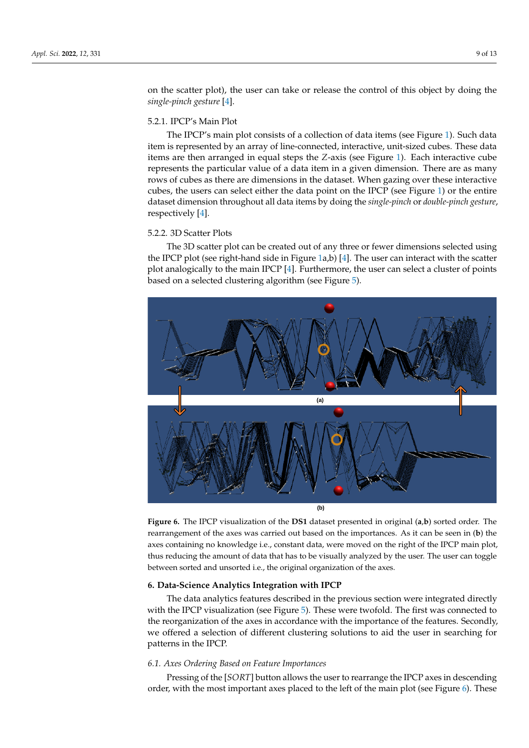on the scatter plot), the user can take or release the control of this object by doing the *single-pinch gesture* [\[4\]](#page-11-2).

### 5.2.1. IPCP's Main Plot

The IPCP's main plot consists of a collection of data items (see Figure [1\)](#page-1-0). Such data item is represented by an array of line-connected, interactive, unit-sized cubes. These data items are then arranged in equal steps the *Z*-axis (see Figure [1\)](#page-1-0). Each interactive cube represents the particular value of a data item in a given dimension. There are as many rows of cubes as there are dimensions in the dataset. When gazing over these interactive cubes, the users can select either the data point on the IPCP (see Figure [1\)](#page-1-0) or the entire dataset dimension throughout all data items by doing the *single-pinch* or *double-pinch gesture*, respectively [\[4\]](#page-11-2).

# 5.2.2. 3D Scatter Plots

The 3D scatter plot can be created out of any three or fewer dimensions selected using the IPCP plot (see right-hand side in Figure [1a](#page-1-0),b) [\[4\]](#page-11-2). The user can interact with the scatter plot analogically to the main IPCP [\[4\]](#page-11-2). Furthermore, the user can select a cluster of points based on a selected clustering algorithm (see Figure [5\)](#page-7-0).

<span id="page-8-0"></span>

**Figure 6.** The IPCP visualization of the **DS1** dataset presented in original (**a**,**b**) sorted order. The rearrangement of the axes was carried out based on the importances. As it can be seen in (**b**) the axes containing no knowledge i.e., constant data, were moved on the right of the IPCP main plot, thus reducing the amount of data that has to be visually analyzed by the user. The user can toggle between sorted and unsorted i.e., the original organization of the axes.

## **6. Data-Science Analytics Integration with IPCP**

The data analytics features described in the previous section were integrated directly with the IPCP visualization (see Figure [5\)](#page-7-0). These were twofold. The first was connected to the reorganization of the axes in accordance with the importance of the features. Secondly, we offered a selection of different clustering solutions to aid the user in searching for patterns in the IPCP.

#### *6.1. Axes Ordering Based on Feature Importances*

Pressing of the [*SORT*] button allows the user to rearrange the IPCP axes in descending order, with the most important axes placed to the left of the main plot (see Figure [6\)](#page-8-0). These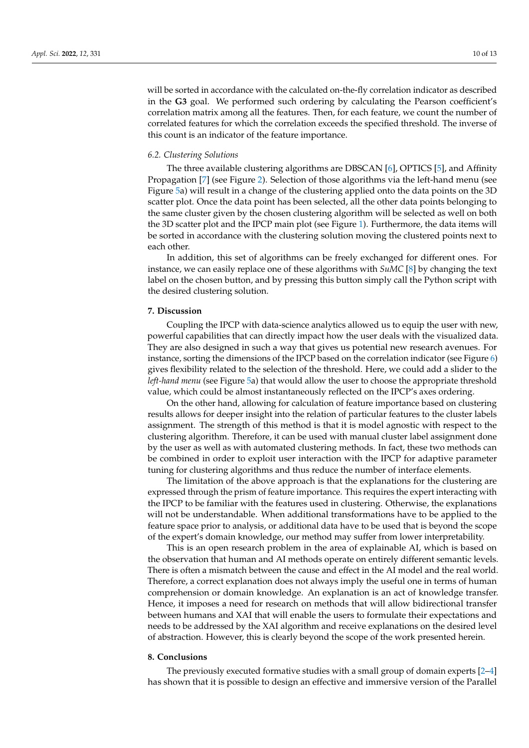will be sorted in accordance with the calculated on-the-fly correlation indicator as described in the **G3** goal. We performed such ordering by calculating the Pearson coefficient's correlation matrix among all the features. Then, for each feature, we count the number of correlated features for which the correlation exceeds the specified threshold. The inverse of this count is an indicator of the feature importance.

## *6.2. Clustering Solutions*

The three available clustering algorithms are DBSCAN [\[6\]](#page-11-5), OPTICS [\[5\]](#page-11-4), and Affinity Propagation [\[7\]](#page-11-6) (see Figure [2\)](#page-4-1). Selection of those algorithms via the left-hand menu (see Figure [5a](#page-7-0)) will result in a change of the clustering applied onto the data points on the 3D scatter plot. Once the data point has been selected, all the other data points belonging to the same cluster given by the chosen clustering algorithm will be selected as well on both the 3D scatter plot and the IPCP main plot (see Figure [1\)](#page-1-0). Furthermore, the data items will be sorted in accordance with the clustering solution moving the clustered points next to each other.

In addition, this set of algorithms can be freely exchanged for different ones. For instance, we can easily replace one of these algorithms with *SuMC* [\[8\]](#page-11-7) by changing the text label on the chosen button, and by pressing this button simply call the Python script with the desired clustering solution.

## **7. Discussion**

Coupling the IPCP with data-science analytics allowed us to equip the user with new, powerful capabilities that can directly impact how the user deals with the visualized data. They are also designed in such a way that gives us potential new research avenues. For instance, sorting the dimensions of the IPCP based on the correlation indicator (see Figure [6\)](#page-8-0) gives flexibility related to the selection of the threshold. Here, we could add a slider to the *left-hand menu* (see Figure [5a](#page-7-0)) that would allow the user to choose the appropriate threshold value, which could be almost instantaneously reflected on the IPCP's axes ordering.

On the other hand, allowing for calculation of feature importance based on clustering results allows for deeper insight into the relation of particular features to the cluster labels assignment. The strength of this method is that it is model agnostic with respect to the clustering algorithm. Therefore, it can be used with manual cluster label assignment done by the user as well as with automated clustering methods. In fact, these two methods can be combined in order to exploit user interaction with the IPCP for adaptive parameter tuning for clustering algorithms and thus reduce the number of interface elements.

The limitation of the above approach is that the explanations for the clustering are expressed through the prism of feature importance. This requires the expert interacting with the IPCP to be familiar with the features used in clustering. Otherwise, the explanations will not be understandable. When additional transformations have to be applied to the feature space prior to analysis, or additional data have to be used that is beyond the scope of the expert's domain knowledge, our method may suffer from lower interpretability.

This is an open research problem in the area of explainable AI, which is based on the observation that human and AI methods operate on entirely different semantic levels. There is often a mismatch between the cause and effect in the AI model and the real world. Therefore, a correct explanation does not always imply the useful one in terms of human comprehension or domain knowledge. An explanation is an act of knowledge transfer. Hence, it imposes a need for research on methods that will allow bidirectional transfer between humans and XAI that will enable the users to formulate their expectations and needs to be addressed by the XAI algorithm and receive explanations on the desired level of abstraction. However, this is clearly beyond the scope of the work presented herein.

#### **8. Conclusions**

The previously executed formative studies with a small group of domain experts [\[2](#page-11-1)[–4\]](#page-11-2) has shown that it is possible to design an effective and immersive version of the Parallel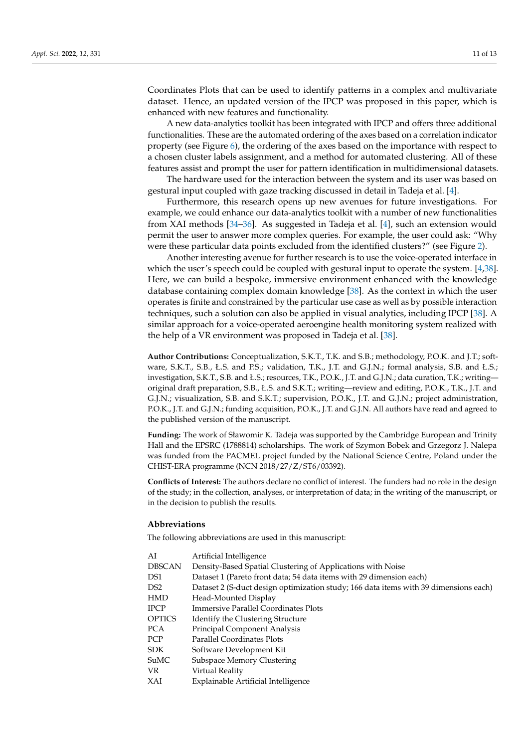Coordinates Plots that can be used to identify patterns in a complex and multivariate dataset. Hence, an updated version of the IPCP was proposed in this paper, which is enhanced with new features and functionality.

A new data-analytics toolkit has been integrated with IPCP and offers three additional functionalities. These are the automated ordering of the axes based on a correlation indicator property (see Figure [6\)](#page-8-0), the ordering of the axes based on the importance with respect to a chosen cluster labels assignment, and a method for automated clustering. All of these features assist and prompt the user for pattern identification in multidimensional datasets.

The hardware used for the interaction between the system and its user was based on gestural input coupled with gaze tracking discussed in detail in Tadeja et al. [\[4\]](#page-11-2).

Furthermore, this research opens up new avenues for future investigations. For example, we could enhance our data-analytics toolkit with a number of new functionalities from XAI methods [\[34](#page-12-6)[–36\]](#page-12-8). As suggested in Tadeja et al. [\[4\]](#page-11-2), such an extension would permit the user to answer more complex queries. For example, the user could ask: "Why were these particular data points excluded from the identified clusters?" (see Figure [2\)](#page-4-1).

Another interesting avenue for further research is to use the voice-operated interface in which the user's speech could be coupled with gestural input to operate the system. [\[4](#page-11-2)[,38\]](#page-12-10). Here, we can build a bespoke, immersive environment enhanced with the knowledge database containing complex domain knowledge [\[38\]](#page-12-10). As the context in which the user operates is finite and constrained by the particular use case as well as by possible interaction techniques, such a solution can also be applied in visual analytics, including IPCP [\[38\]](#page-12-10). A similar approach for a voice-operated aeroengine health monitoring system realized with the help of a VR environment was proposed in Tadeja et al. [\[38\]](#page-12-10).

**Author Contributions:** Conceptualization, S.K.T., T.K. and S.B.; methodology, P.O.K. and J.T.; software, S.K.T., S.B., Ł.S. and P.S.; validation, T.K., J.T. and G.J.N.; formal analysis, S.B. and Ł.S.; investigation, S.K.T., S.B. and Ł.S.; resources, T.K., P.O.K., J.T. and G.J.N.; data curation, T.K.; writing original draft preparation, S.B., Ł.S. and S.K.T.; writing—review and editing, P.O.K., T.K., J.T. and G.J.N.; visualization, S.B. and S.K.T.; supervision, P.O.K., J.T. and G.J.N.; project administration, P.O.K., J.T. and G.J.N.; funding acquisition, P.O.K., J.T. and G.J.N. All authors have read and agreed to the published version of the manuscript.

**Funding:** The work of Sławomir K. Tadeja was supported by the Cambridge European and Trinity Hall and the EPSRC (1788814) scholarships. The work of Szymon Bobek and Grzegorz J. Nalepa was funded from the PACMEL project funded by the National Science Centre, Poland under the CHIST-ERA programme (NCN 2018/27/Z/ST6/03392).

**Conflicts of Interest:** The authors declare no conflict of interest. The funders had no role in the design of the study; in the collection, analyses, or interpretation of data; in the writing of the manuscript, or in the decision to publish the results.

# **Abbreviations**

The following abbreviations are used in this manuscript:

| AI            | Artificial Intelligence                                                              |
|---------------|--------------------------------------------------------------------------------------|
| <b>DBSCAN</b> | Density-Based Spatial Clustering of Applications with Noise                          |
| DS1           | Dataset 1 (Pareto front data; 54 data items with 29 dimension each)                  |
| DS2           | Dataset 2 (S-duct design optimization study; 166 data items with 39 dimensions each) |
| <b>HMD</b>    | Head-Mounted Display                                                                 |
| <b>IPCP</b>   | Immersive Parallel Coordinates Plots                                                 |
| <b>OPTICS</b> | Identify the Clustering Structure                                                    |
| PCA           | <b>Principal Component Analysis</b>                                                  |
| PCP           | <b>Parallel Coordinates Plots</b>                                                    |
| SDK.          | Software Development Kit                                                             |
| SuMC          | Subspace Memory Clustering                                                           |
| VR            | Virtual Reality                                                                      |
| XAI           | Explainable Artificial Intelligence                                                  |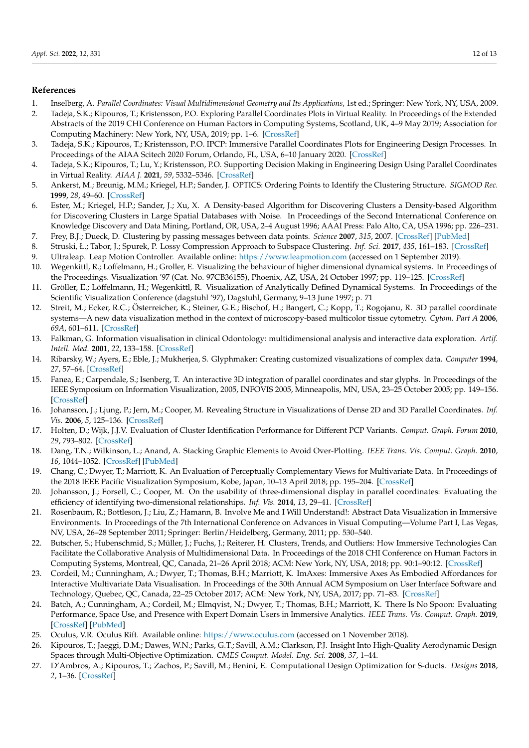# **References**

- <span id="page-11-0"></span>1. Inselberg, A. *Parallel Coordinates: Visual Multidimensional Geometry and Its Applications*, 1st ed.; Springer: New York, NY, USA, 2009.
- <span id="page-11-1"></span>2. Tadeja, S.K.; Kipouros, T.; Kristensson, P.O. Exploring Parallel Coordinates Plots in Virtual Reality. In Proceedings of the Extended Abstracts of the 2019 CHI Conference on Human Factors in Computing Systems, Scotland, UK, 4–9 May 2019; Association for Computing Machinery: New York, NY, USA, 2019; pp. 1–6. [\[CrossRef\]](http://doi.org/10.1145/3290607.3313068)
- <span id="page-11-3"></span>3. Tadeja, S.K.; Kipouros, T.; Kristensson, P.O. IPCP: Immersive Parallel Coordinates Plots for Engineering Design Processes. In Proceedings of the AIAA Scitech 2020 Forum, Orlando, FL, USA, 6–10 January 2020. [\[CrossRef\]](http://dx.doi.org/10.2514/6.2020-0324)
- <span id="page-11-2"></span>4. Tadeja, S.K.; Kipouros, T.; Lu, Y.; Kristensson, P.O. Supporting Decision Making in Engineering Design Using Parallel Coordinates in Virtual Reality. *AIAA J.* **2021**, *59*, 5332–5346. [\[CrossRef\]](http://dx.doi.org/10.2514/1.J060441)
- <span id="page-11-4"></span>5. Ankerst, M.; Breunig, M.M.; Kriegel, H.P.; Sander, J. OPTICS: Ordering Points to Identify the Clustering Structure. *SIGMOD Rec.* **1999**, *28*, 49–60. [\[CrossRef\]](http://dx.doi.org/10.1145/304181.304187)
- <span id="page-11-5"></span>6. Ester, M.; Kriegel, H.P.; Sander, J.; Xu, X. A Density-based Algorithm for Discovering Clusters a Density-based Algorithm for Discovering Clusters in Large Spatial Databases with Noise. In Proceedings of the Second International Conference on Knowledge Discovery and Data Mining, Portland, OR, USA, 2–4 August 1996; AAAI Press: Palo Alto, CA, USA 1996; pp. 226–231.
- <span id="page-11-6"></span>7. Frey, B.J.; Dueck, D. Clustering by passing messages between data points. *Science* **2007**, *315*, 2007. [\[CrossRef\]](http://dx.doi.org/10.1126/science.1136800) [\[PubMed\]](http://www.ncbi.nlm.nih.gov/pubmed/17218491)
- <span id="page-11-7"></span>8. Struski, Ł.; Tabor, J.; Spurek, P. Lossy Compression Approach to Subspace Clustering. *Inf. Sci.* **2017**, *435*, 161–183. [\[CrossRef\]](http://dx.doi.org/10.1016/j.ins.2017.12.056)
- <span id="page-11-8"></span>9. Ultraleap. Leap Motion Controller. Available online: <https://www.leapmotion.com> (accessed on 1 September 2019).
- <span id="page-11-9"></span>10. Wegenkittl, R.; Loffelmann, H.; Groller, E. Visualizing the behaviour of higher dimensional dynamical systems. In Proceedings of the Proceedings. Visualization '97 (Cat. No. 97CB36155), Phoenix, AZ, USA, 24 October 1997; pp. 119–125. [\[CrossRef\]](http://dx.doi.org/10.1109/VISUAL.1997.663867)
- 11. Gröller, E.; Löffelmann, H.; Wegenkittl, R. Visualization of Analytically Defined Dynamical Systems. In Proceedings of the Scientific Visualization Conference (dagstuhl '97), Dagstuhl, Germany, 9–13 June 1997; p. 71
- 12. Streit, M.; Ecker, R.C.; Österreicher, K.; Steiner, G.E.; Bischof, H.; Bangert, C.; Kopp, T.; Rogojanu, R. 3D parallel coordinate systems—A new data visualization method in the context of microscopy-based multicolor tissue cytometry. *Cytom. Part A* **2006**, *69A*, 601–611. [\[CrossRef\]](http://dx.doi.org/10.1002/cyto.a.20288)
- 13. Falkman, G. Information visualisation in clinical Odontology: multidimensional analysis and interactive data exploration. *Artif. Intell. Med.* **2001**, *22*, 133–158. [\[CrossRef\]](http://dx.doi.org/10.1016/S0933-3657(00)00104-4)
- 14. Ribarsky, W.; Ayers, E.; Eble, J.; Mukherjea, S. Glyphmaker: Creating customized visualizations of complex data. *Computer* **1994**, *27*, 57–64. [\[CrossRef\]](http://dx.doi.org/10.1109/2.299412)
- 15. Fanea, E.; Carpendale, S.; Isenberg, T. An interactive 3D integration of parallel coordinates and star glyphs. In Proceedings of the IEEE Symposium on Information Visualization, 2005, INFOVIS 2005, Minneapolis, MN, USA, 23–25 October 2005; pp. 149–156. [\[CrossRef\]](http://dx.doi.org/10.1109/INFVIS.2005.1532141)
- <span id="page-11-10"></span>16. Johansson, J.; Ljung, P.; Jern, M.; Cooper, M. Revealing Structure in Visualizations of Dense 2D and 3D Parallel Coordinates. *Inf. Vis.* **2006**, *5*, 125–136. [\[CrossRef\]](http://dx.doi.org/10.1057/palgrave.ivs.9500117)
- <span id="page-11-11"></span>17. Holten, D.; Wijk, J.J.V. Evaluation of Cluster Identification Performance for Different PCP Variants. *Comput. Graph. Forum* **2010**, *29*, 793–802. [\[CrossRef\]](http://dx.doi.org/10.1111/j.1467-8659.2009.01666.x)
- <span id="page-11-12"></span>18. Dang, T.N.; Wilkinson, L.; Anand, A. Stacking Graphic Elements to Avoid Over-Plotting. *IEEE Trans. Vis. Comput. Graph.* **2010**, *16*, 1044–1052. [\[CrossRef\]](http://dx.doi.org/10.1109/TVCG.2010.197) [\[PubMed\]](http://www.ncbi.nlm.nih.gov/pubmed/20975142)
- <span id="page-11-13"></span>19. Chang, C.; Dwyer, T.; Marriott, K. An Evaluation of Perceptually Complementary Views for Multivariate Data. In Proceedings of the 2018 IEEE Pacific Visualization Symposium, Kobe, Japan, 10–13 April 2018; pp. 195–204. [\[CrossRef\]](http://dx.doi.org/10.1109/PacificVis. 2018.00033)
- <span id="page-11-14"></span>20. Johansson, J.; Forsell, C.; Cooper, M. On the usability of three-dimensional display in parallel coordinates: Evaluating the efficiency of identifying two-dimensional relationships. *Inf. Vis.* **2014**, *13*, 29–41. [\[CrossRef\]](http://dx.doi.org/10.1177/1473871613477091)
- <span id="page-11-15"></span>21. Rosenbaum, R.; Bottleson, J.; Liu, Z.; Hamann, B. Involve Me and I Will Understand!: Abstract Data Visualization in Immersive Environments. In Proceedings of the 7th International Conference on Advances in Visual Computing—Volume Part I, Las Vegas, NV, USA, 26–28 September 2011; Springer: Berlin/Heidelberg, Germany, 2011; pp. 530–540.
- <span id="page-11-16"></span>22. Butscher, S.; Hubenschmid, S.; Müller, J.; Fuchs, J.; Reiterer, H. Clusters, Trends, and Outliers: How Immersive Technologies Can Facilitate the Collaborative Analysis of Multidimensional Data. In Proceedings of the 2018 CHI Conference on Human Factors in Computing Systems, Montreal, QC, Canada, 21–26 April 2018; ACM: New York, NY, USA, 2018; pp. 90:1–90:12. [\[CrossRef\]](http://dx.doi.org/10.1145/3173574.3173664)
- <span id="page-11-17"></span>23. Cordeil, M.; Cunningham, A.; Dwyer, T.; Thomas, B.H.; Marriott, K. ImAxes: Immersive Axes As Embodied Affordances for Interactive Multivariate Data Visualisation. In Proceedings of the 30th Annual ACM Symposium on User Interface Software and Technology, Quebec, QC, Canada, 22–25 October 2017; ACM: New York, NY, USA, 2017; pp. 71–83. [\[CrossRef\]](http://dx.doi.org/10.1145/3126594.3126613)
- <span id="page-11-18"></span>24. Batch, A.; Cunningham, A.; Cordeil, M.; Elmqvist, N.; Dwyer, T.; Thomas, B.H.; Marriott, K. There Is No Spoon: Evaluating Performance, Space Use, and Presence with Expert Domain Users in Immersive Analytics. *IEEE Trans. Vis. Comput. Graph.* **2019**, [\[CrossRef\]](http://dx.doi.org/10.1109/TVCG.2019.2934803) [\[PubMed\]](http://www.ncbi.nlm.nih.gov/pubmed/31484124)
- <span id="page-11-19"></span>25. Oculus, V.R. Oculus Rift. Available online: <https://www.oculus.com> (accessed on 1 November 2018).
- <span id="page-11-20"></span>26. Kipouros, T.; Jaeggi, D.M.; Dawes, W.N.; Parks, G.T.; Savill, A.M.; Clarkson, P.J. Insight Into High-Quality Aerodynamic Design Spaces through Multi-Objective Optimization. *CMES Comput. Model. Eng. Sci.* **2008**, *37*, 1–44.
- <span id="page-11-21"></span>27. D'Ambros, A.; Kipouros, T.; Zachos, P.; Savill, M.; Benini, E. Computational Design Optimization for S-ducts. *Designs* **2018**, *2*, 1–36. [\[CrossRef\]](http://dx.doi.org/10.3390/designs2040036)